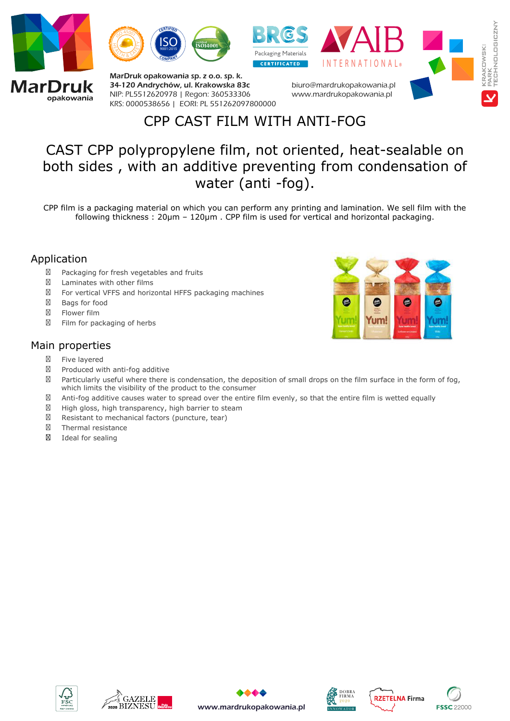



MarDruk opakowania sp. z o.o. sp. k. 34-120 Andrychów, ul. Krakowska 83c *NIP: PL5512620978 | Regon: 360533306 KRS: 0000538656 | EORI: PL 551262097800000*





*biuro@mardrukopakowania.pl www.mardrukopakowania.pl*

## CPP CAST FILM WITH ANTI-FOG

## CAST CPP polypropylene film, not oriented, heat-sealable on both sides , with an additive preventing from condensation of water (anti -fog).

CPP film is a packaging material on which you can perform any printing and lamination. We sell film with the following thickness : 20µm – 120µm . CPP film is used for vertical and horizontal packaging.

## Application

- Packaging for fresh vegetables and fruits
- Laminates with other films
- For vertical VFFS and horizontal HFFS packaging machines
- Bags for food
- Flower film
- Film for packaging of herbs

## Main properties

- Five layered
- $\boxtimes$  Produced with anti-fog additive
- $\boxtimes$  Particularly useful where there is condensation, the deposition of small drops on the film surface in the form of fog, which limits the visibility of the product to the consumer
- Anti-fog additive causes water to spread over the entire film evenly, so that the entire film is wetted equally
- $\boxtimes$  High gloss, high transparency, high barrier to steam
- $\boxtimes$  Resistant to mechanical factors (puncture, tear)
- Thermal resistance
- Ideal for sealing